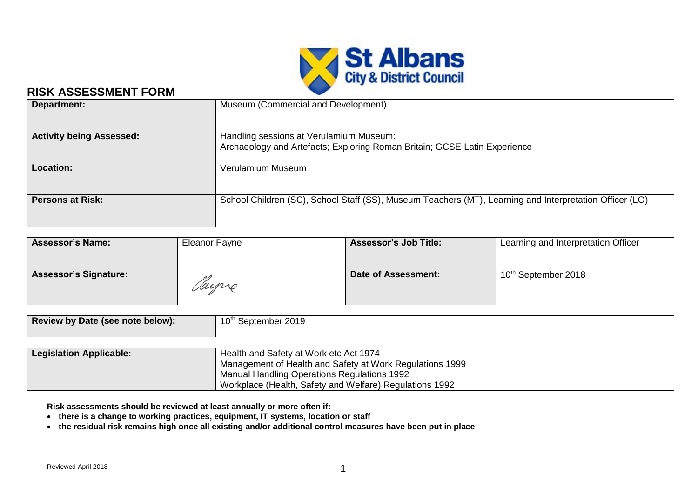

# **RISK ASSESSMENT FORM**

| Department:                     | Museum (Commercial and Development)                                                                     |
|---------------------------------|---------------------------------------------------------------------------------------------------------|
|                                 |                                                                                                         |
| <b>Activity being Assessed:</b> | Handling sessions at Verulamium Museum:                                                                 |
|                                 | Archaeology and Artefacts; Exploring Roman Britain; GCSE Latin Experience                               |
|                                 |                                                                                                         |
| <b>Location:</b>                | Verulamium Museum                                                                                       |
|                                 |                                                                                                         |
|                                 |                                                                                                         |
| <b>Persons at Risk:</b>         | School Children (SC), School Staff (SS), Museum Teachers (MT), Learning and Interpretation Officer (LO) |
|                                 |                                                                                                         |
|                                 |                                                                                                         |

| <b>Assessor's Name:</b>      | Eleanor Payne | <b>Assessor's Job Title:</b> | Learning and Interpretation Officer |  |  |  |  |
|------------------------------|---------------|------------------------------|-------------------------------------|--|--|--|--|
| <b>Assessor's Signature:</b> | Tayne         | Date of Assessment:          | 10 <sup>th</sup> September 2018     |  |  |  |  |

| Review by Date (see note below): | ı ∧th<br>12019 <sup>.</sup><br>September |
|----------------------------------|------------------------------------------|
|                                  |                                          |

| <b>Legislation Applicable:</b> | Health and Safety at Work etc Act 1974                   |
|--------------------------------|----------------------------------------------------------|
|                                | Management of Health and Safety at Work Regulations 1999 |
|                                | Manual Handling Operations Regulations 1992              |
|                                | Workplace (Health, Safety and Welfare) Regulations 1992  |

**Risk assessments should be reviewed at least annually or more often if:**

- **there is a change to working practices, equipment, IT systems, location or staff**
- **the residual risk remains high once all existing and/or additional control measures have been put in place**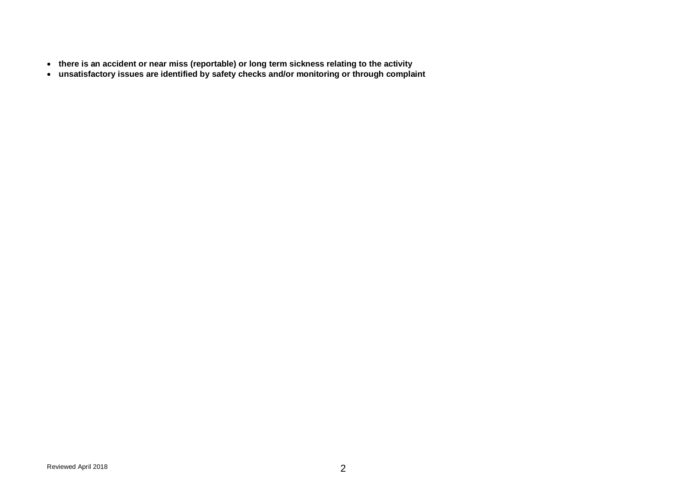- **there is an accident or near miss (reportable) or long term sickness relating to the activity**
- **unsatisfactory issues are identified by safety checks and/or monitoring or through complaint**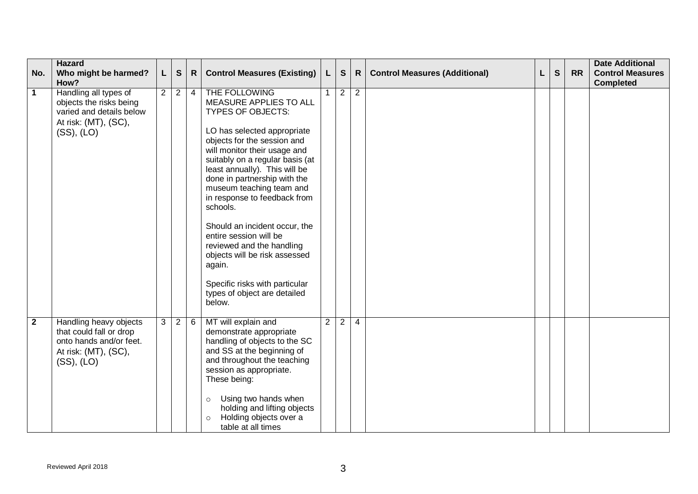| No.          | <b>Hazard</b><br>Who might be harmed?<br>How?                                                                      | L.             | ${\mathsf S}$  | $\mathsf{R}$ | <b>Control Measures (Existing)</b>                                                                                                                                                                                                                                                                                                                                                                                                                                                                                                                           | $\mathsf{L}$   | ${\mathsf S}$  | $\mathsf{R}$   | <b>Control Measures (Additional)</b> | L | $\mathbf{s}$ | <b>RR</b> | <b>Date Additional</b><br><b>Control Measures</b><br><b>Completed</b> |
|--------------|--------------------------------------------------------------------------------------------------------------------|----------------|----------------|--------------|--------------------------------------------------------------------------------------------------------------------------------------------------------------------------------------------------------------------------------------------------------------------------------------------------------------------------------------------------------------------------------------------------------------------------------------------------------------------------------------------------------------------------------------------------------------|----------------|----------------|----------------|--------------------------------------|---|--------------|-----------|-----------------------------------------------------------------------|
| $\mathbf 1$  | Handling all types of<br>objects the risks being<br>varied and details below<br>At risk: (MT), (SC),<br>(SS), (LO) | 2 <sup>1</sup> | $\overline{2}$ | 4            | THE FOLLOWING<br>MEASURE APPLIES TO ALL<br><b>TYPES OF OBJECTS:</b><br>LO has selected appropriate<br>objects for the session and<br>will monitor their usage and<br>suitably on a regular basis (at<br>least annually). This will be<br>done in partnership with the<br>museum teaching team and<br>in response to feedback from<br>schools.<br>Should an incident occur, the<br>entire session will be<br>reviewed and the handling<br>objects will be risk assessed<br>again.<br>Specific risks with particular<br>types of object are detailed<br>below. |                | $\overline{2}$ | $\overline{2}$ |                                      |   |              |           |                                                                       |
| $\mathbf{2}$ | Handling heavy objects<br>that could fall or drop<br>onto hands and/or feet.<br>At risk: (MT), (SC),<br>(SS), (LO) | 3 <sup>1</sup> | $\overline{2}$ | 6            | MT will explain and<br>demonstrate appropriate<br>handling of objects to the SC<br>and SS at the beginning of<br>and throughout the teaching<br>session as appropriate.<br>These being:<br>Using two hands when<br>$\circ$<br>holding and lifting objects<br>Holding objects over a<br>$\circ$<br>table at all times                                                                                                                                                                                                                                         | $\overline{2}$ | $\overline{2}$ | $\overline{4}$ |                                      |   |              |           |                                                                       |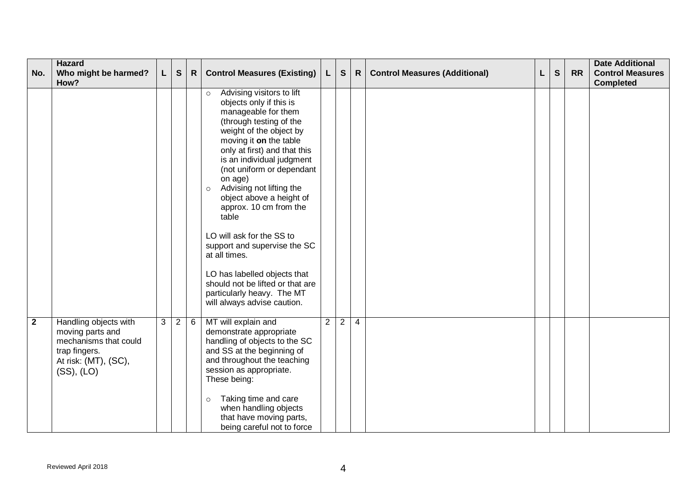| No.          | <b>Hazard</b><br>Who might be harmed?                                                                                     | L. | ${\mathsf s}$  | $\mathsf{R}$ | <b>Control Measures (Existing)</b>                                                                                                                                                                                                                                                                                                                                                                                                                                                                                                                                                               | $\mathsf{L}$   | ${\bf S}$      | $\mathsf{R}$   | <b>Control Measures (Additional)</b> | L | S | <b>RR</b> | <b>Date Additional</b><br><b>Control Measures</b> |
|--------------|---------------------------------------------------------------------------------------------------------------------------|----|----------------|--------------|--------------------------------------------------------------------------------------------------------------------------------------------------------------------------------------------------------------------------------------------------------------------------------------------------------------------------------------------------------------------------------------------------------------------------------------------------------------------------------------------------------------------------------------------------------------------------------------------------|----------------|----------------|----------------|--------------------------------------|---|---|-----------|---------------------------------------------------|
|              | How?                                                                                                                      |    |                |              |                                                                                                                                                                                                                                                                                                                                                                                                                                                                                                                                                                                                  |                |                |                |                                      |   |   |           | <b>Completed</b>                                  |
|              |                                                                                                                           |    |                |              | Advising visitors to lift<br>$\circ$<br>objects only if this is<br>manageable for them<br>(through testing of the<br>weight of the object by<br>moving it on the table<br>only at first) and that this<br>is an individual judgment<br>(not uniform or dependant<br>on age)<br>Advising not lifting the<br>$\circ$<br>object above a height of<br>approx. 10 cm from the<br>table<br>LO will ask for the SS to<br>support and supervise the SC<br>at all times.<br>LO has labelled objects that<br>should not be lifted or that are<br>particularly heavy. The MT<br>will always advise caution. |                |                |                |                                      |   |   |           |                                                   |
| $\mathbf{2}$ | Handling objects with<br>moving parts and<br>mechanisms that could<br>trap fingers.<br>At risk: (MT), (SC),<br>(SS), (LO) | 3  | $\overline{2}$ | 6            | MT will explain and<br>demonstrate appropriate<br>handling of objects to the SC<br>and SS at the beginning of<br>and throughout the teaching<br>session as appropriate.<br>These being:<br>Taking time and care<br>$\circ$<br>when handling objects<br>that have moving parts,<br>being careful not to force                                                                                                                                                                                                                                                                                     | $\overline{2}$ | $\overline{2}$ | $\overline{4}$ |                                      |   |   |           |                                                   |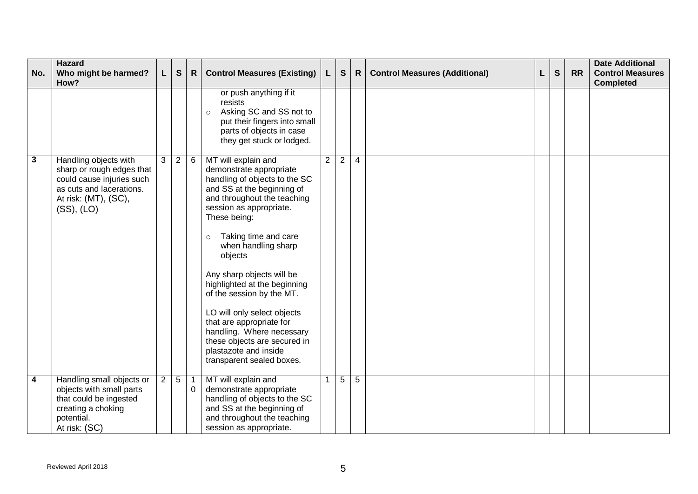| No.                     | <b>Hazard</b><br>Who might be harmed?<br>How?                                                                                                     | L.             | ${\mathsf s}$  | $\mathsf{R}$               | <b>Control Measures (Existing)</b>                                                                                                                                                                                                                                                                                                                                                                                                                                                                                                   | L.             | $\mathbf{s}$   | $\mathsf{R}$ | <b>Control Measures (Additional)</b> | L | S | <b>RR</b> | <b>Date Additional</b><br><b>Control Measures</b><br><b>Completed</b> |
|-------------------------|---------------------------------------------------------------------------------------------------------------------------------------------------|----------------|----------------|----------------------------|--------------------------------------------------------------------------------------------------------------------------------------------------------------------------------------------------------------------------------------------------------------------------------------------------------------------------------------------------------------------------------------------------------------------------------------------------------------------------------------------------------------------------------------|----------------|----------------|--------------|--------------------------------------|---|---|-----------|-----------------------------------------------------------------------|
|                         |                                                                                                                                                   |                |                |                            | or push anything if it<br>resists<br>Asking SC and SS not to<br>$\circ$<br>put their fingers into small<br>parts of objects in case<br>they get stuck or lodged.                                                                                                                                                                                                                                                                                                                                                                     |                |                |              |                                      |   |   |           |                                                                       |
| $\overline{\mathbf{3}}$ | Handling objects with<br>sharp or rough edges that<br>could cause injuries such<br>as cuts and lacerations.<br>At risk: (MT), (SC),<br>(SS), (LO) | 3              | $\overline{2}$ | 6                          | MT will explain and<br>demonstrate appropriate<br>handling of objects to the SC<br>and SS at the beginning of<br>and throughout the teaching<br>session as appropriate.<br>These being:<br>Taking time and care<br>$\circ$<br>when handling sharp<br>objects<br>Any sharp objects will be<br>highlighted at the beginning<br>of the session by the MT.<br>LO will only select objects<br>that are appropriate for<br>handling. Where necessary<br>these objects are secured in<br>plastazote and inside<br>transparent sealed boxes. | $\overline{2}$ | $\overline{2}$ | 4            |                                      |   |   |           |                                                                       |
| $\overline{\mathbf{4}}$ | Handling small objects or<br>objects with small parts<br>that could be ingested<br>creating a choking<br>potential.<br>At risk: (SC)              | $\overline{2}$ | 5 <sup>5</sup> | $\overline{1}$<br>$\Omega$ | MT will explain and<br>demonstrate appropriate<br>handling of objects to the SC<br>and SS at the beginning of<br>and throughout the teaching<br>session as appropriate.                                                                                                                                                                                                                                                                                                                                                              |                | 5              | 5            |                                      |   |   |           |                                                                       |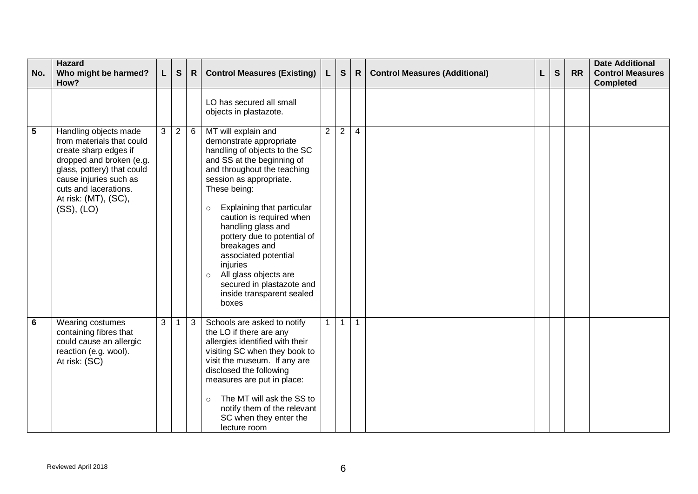| No. | <b>Hazard</b><br>Who might be harmed?<br>How?                                                                                                                                                                                  |   | $\mathbf{s}$   | $\mathsf{R}$ | <b>Control Measures (Existing)</b>                                                                                                                                                                                                                                                                                                                                                                                                                                            | $\lfloor$      | ${\bf S}$      | $\mathsf{R}$   | <b>Control Measures (Additional)</b> | L | S | <b>RR</b> | <b>Date Additional</b><br><b>Control Measures</b><br><b>Completed</b> |
|-----|--------------------------------------------------------------------------------------------------------------------------------------------------------------------------------------------------------------------------------|---|----------------|--------------|-------------------------------------------------------------------------------------------------------------------------------------------------------------------------------------------------------------------------------------------------------------------------------------------------------------------------------------------------------------------------------------------------------------------------------------------------------------------------------|----------------|----------------|----------------|--------------------------------------|---|---|-----------|-----------------------------------------------------------------------|
|     |                                                                                                                                                                                                                                |   |                |              | LO has secured all small<br>objects in plastazote.                                                                                                                                                                                                                                                                                                                                                                                                                            |                |                |                |                                      |   |   |           |                                                                       |
| 5   | Handling objects made<br>from materials that could<br>create sharp edges if<br>dropped and broken (e.g.<br>glass, pottery) that could<br>cause injuries such as<br>cuts and lacerations.<br>At risk: (MT), (SC),<br>(SS), (LO) | 3 | $\overline{2}$ | 6            | MT will explain and<br>demonstrate appropriate<br>handling of objects to the SC<br>and SS at the beginning of<br>and throughout the teaching<br>session as appropriate.<br>These being:<br>Explaining that particular<br>$\circ$<br>caution is required when<br>handling glass and<br>pottery due to potential of<br>breakages and<br>associated potential<br>injuries<br>All glass objects are<br>$\circ$<br>secured in plastazote and<br>inside transparent sealed<br>boxes | $\overline{2}$ | $\overline{2}$ | $\overline{4}$ |                                      |   |   |           |                                                                       |
| 6   | Wearing costumes<br>containing fibres that<br>could cause an allergic<br>reaction (e.g. wool).<br>At risk: (SC)                                                                                                                | 3 | $\mathbf{1}$   | 3            | Schools are asked to notify<br>the LO if there are any<br>allergies identified with their<br>visiting SC when they book to<br>visit the museum. If any are<br>disclosed the following<br>measures are put in place:<br>The MT will ask the SS to<br>$\circ$<br>notify them of the relevant<br>SC when they enter the<br>lecture room                                                                                                                                          | 1 <sup>1</sup> | $\mathbf{1}$   | $\mathbf{1}$   |                                      |   |   |           |                                                                       |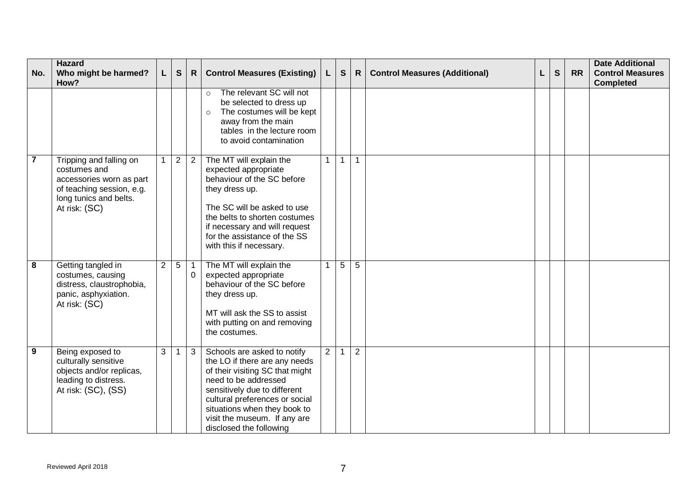| No.            | <b>Hazard</b><br>Who might be harmed?<br>How?                                                                                               |                | $\mathbf{s}$         | $\mathsf{R}$               | <b>Control Measures (Existing)</b>                                                                                                                                                                                                                                                   | $\mathsf{L}$   | S            | $\mathsf{R}$   | <b>Control Measures (Additional)</b> | L | S | <b>RR</b> | <b>Date Additional</b><br><b>Control Measures</b><br><b>Completed</b> |
|----------------|---------------------------------------------------------------------------------------------------------------------------------------------|----------------|----------------------|----------------------------|--------------------------------------------------------------------------------------------------------------------------------------------------------------------------------------------------------------------------------------------------------------------------------------|----------------|--------------|----------------|--------------------------------------|---|---|-----------|-----------------------------------------------------------------------|
|                |                                                                                                                                             |                |                      |                            | The relevant SC will not<br>$\circ$<br>be selected to dress up<br>The costumes will be kept<br>$\circ$<br>away from the main<br>tables in the lecture room<br>to avoid contamination                                                                                                 |                |              |                |                                      |   |   |           |                                                                       |
| $\overline{7}$ | Tripping and falling on<br>costumes and<br>accessories worn as part<br>of teaching session, e.g.<br>long tunics and belts.<br>At risk: (SC) |                | 2                    | 2                          | The MT will explain the<br>expected appropriate<br>behaviour of the SC before<br>they dress up.<br>The SC will be asked to use<br>the belts to shorten costumes<br>if necessary and will request<br>for the assistance of the SS<br>with this if necessary.                          | 1 <sup>1</sup> | $\mathbf{1}$ | 1              |                                      |   |   |           |                                                                       |
| 8              | Getting tangled in<br>costumes, causing<br>distress, claustrophobia,<br>panic, asphyxiation.<br>At risk: (SC)                               | $\overline{2}$ | $5\phantom{.0}$      | $\overline{1}$<br>$\Omega$ | The MT will explain the<br>expected appropriate<br>behaviour of the SC before<br>they dress up.<br>MT will ask the SS to assist<br>with putting on and removing<br>the costumes.                                                                                                     | 1 <sup>1</sup> | 5            | 5              |                                      |   |   |           |                                                                       |
| 9              | Being exposed to<br>culturally sensitive<br>objects and/or replicas,<br>leading to distress.<br>At risk: (SC), (SS)                         | 3 <sup>1</sup> | $\blacktriangleleft$ | 3                          | Schools are asked to notify<br>the LO if there are any needs<br>of their visiting SC that might<br>need to be addressed<br>sensitively due to different<br>cultural preferences or social<br>situations when they book to<br>visit the museum. If any are<br>disclosed the following | $\overline{2}$ | $\mathbf 1$  | $\overline{2}$ |                                      |   |   |           |                                                                       |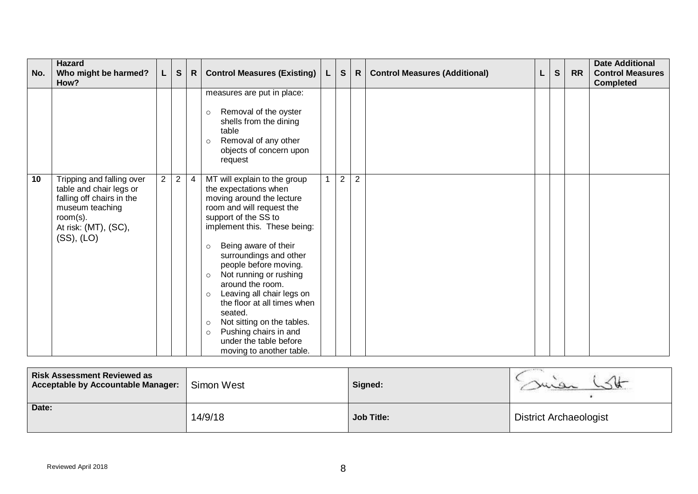| No.             | Hazard<br>Who might be harmed?<br>How?                                                                                                                     | L,             | $\mathbf{s}$   | $\mathsf{R}$   | <b>Control Measures (Existing)</b>                                                                                                                                                                                                                                                                                                                                                                                                                                                                                                          | L | $\mathbf{s}$   | R              | <b>Control Measures (Additional)</b> | L | $\mathbf{s}$ | <b>RR</b> | <b>Date Additional</b><br><b>Control Measures</b><br><b>Completed</b> |
|-----------------|------------------------------------------------------------------------------------------------------------------------------------------------------------|----------------|----------------|----------------|---------------------------------------------------------------------------------------------------------------------------------------------------------------------------------------------------------------------------------------------------------------------------------------------------------------------------------------------------------------------------------------------------------------------------------------------------------------------------------------------------------------------------------------------|---|----------------|----------------|--------------------------------------|---|--------------|-----------|-----------------------------------------------------------------------|
|                 |                                                                                                                                                            |                |                |                | measures are put in place:<br>Removal of the oyster<br>$\circ$<br>shells from the dining<br>table<br>Removal of any other<br>$\circ$<br>objects of concern upon<br>request                                                                                                                                                                                                                                                                                                                                                                  |   |                |                |                                      |   |              |           |                                                                       |
| $\overline{10}$ | Tripping and falling over<br>table and chair legs or<br>falling off chairs in the<br>museum teaching<br>room $(s)$ .<br>At risk: (MT), (SC),<br>(SS), (LO) | $\overline{2}$ | $\overline{2}$ | $\overline{4}$ | MT will explain to the group<br>the expectations when<br>moving around the lecture<br>room and will request the<br>support of the SS to<br>implement this. These being:<br>Being aware of their<br>$\circ$<br>surroundings and other<br>people before moving.<br>Not running or rushing<br>$\circ$<br>around the room.<br>Leaving all chair legs on<br>$\circ$<br>the floor at all times when<br>seated.<br>Not sitting on the tables.<br>$\circ$<br>Pushing chairs in and<br>$\circ$<br>under the table before<br>moving to another table. | 1 | $\overline{2}$ | $\overline{2}$ |                                      |   |              |           |                                                                       |

| <b>Risk Assessment Reviewed as</b><br><b>Acceptable by Accountable Manager:</b> | Simon West | Signed:           |                               |  |  |  |
|---------------------------------------------------------------------------------|------------|-------------------|-------------------------------|--|--|--|
| Date:                                                                           | 14/9/18    | <b>Job Title:</b> | <b>District Archaeologist</b> |  |  |  |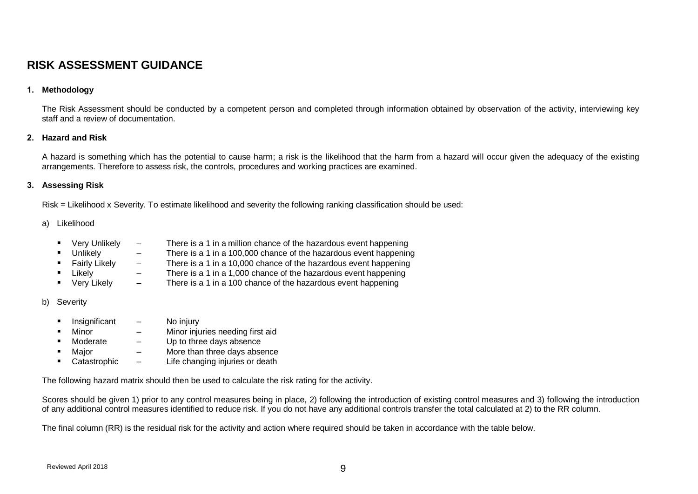# **RISK ASSESSMENT GUIDANCE**

### **1. Methodology**

The Risk Assessment should be conducted by a competent person and completed through information obtained by observation of the activity, interviewing key staff and a review of documentation.

#### **2. Hazard and Risk**

A hazard is something which has the potential to cause harm; a risk is the likelihood that the harm from a hazard will occur given the adequacy of the existing arrangements. Therefore to assess risk, the controls, procedures and working practices are examined.

#### **3. Assessing Risk**

Risk = Likelihood x Severity. To estimate likelihood and severity the following ranking classification should be used:

#### a) Likelihood

- Very Unlikely There is a 1 in a million chance of the hazardous event happening
- 
- Unlikely There is a 1 in a 100,000 chance of the hazardous event happening<br>Fairly Likely There is a 1 in a 10,000 chance of the hazardous event happening
- There is a 1 in a 10,000 chance of the hazardous event happening
- 
- Likely There is a 1 in a 1,000 chance of the hazardous event happening<br>■ Very Likely There is a 1 in a 100 chance of the hazardous event happening
- There is a 1 in a 100 chance of the hazardous event happening

#### b) Severity

- Insignificant No injury
- Minor Minor injuries needing first aid
- Moderate  $-$  Up to three days absence
- Major More than three days absence
- Catastrophic Life changing injuries or death

The following hazard matrix should then be used to calculate the risk rating for the activity.

Scores should be given 1) prior to any control measures being in place, 2) following the introduction of existing control measures and 3) following the introduction of any additional control measures identified to reduce risk. If you do not have any additional controls transfer the total calculated at 2) to the RR column.

The final column (RR) is the residual risk for the activity and action where required should be taken in accordance with the table below.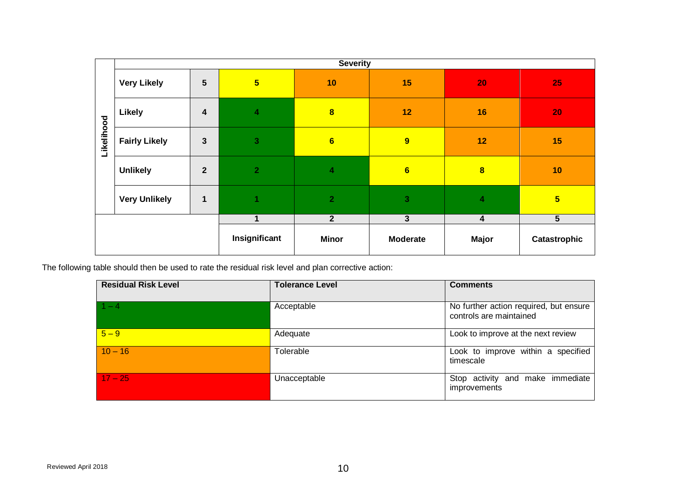|            |                            |                         |                                                                                                    | <b>Severity</b>         |                 |                                    |                                        |  |
|------------|----------------------------|-------------------------|----------------------------------------------------------------------------------------------------|-------------------------|-----------------|------------------------------------|----------------------------------------|--|
|            | <b>Very Likely</b>         | 5                       | $5\overline{)}$                                                                                    | 10                      | 15              | 20                                 | 25                                     |  |
|            | Likely                     | $\overline{\mathbf{4}}$ | $\overline{\mathbf{4}}$                                                                            | $\overline{\mathbf{8}}$ | 12              | 16                                 | 20                                     |  |
| Likelihood | <b>Fairly Likely</b>       | $\mathbf{3}$            | $\overline{3}$                                                                                     | $6\phantom{a}$          | 9               | 12                                 | 15                                     |  |
|            | <b>Unlikely</b>            | $\mathbf{2}$            | $\overline{2}$                                                                                     | $\overline{\mathbf{4}}$ | $6\phantom{a}$  | $\overline{\mathbf{8}}$            | 10                                     |  |
|            | <b>Very Unlikely</b>       | $\mathbf{1}$            | 1                                                                                                  | $\overline{2}$          | 3               | 4                                  | 5 <sup>5</sup>                         |  |
|            |                            |                         | $\mathbf{1}$                                                                                       | $\overline{2}$          | $\overline{3}$  | $\overline{\mathbf{4}}$            | $\overline{5}$                         |  |
|            |                            |                         | Insignificant                                                                                      | <b>Minor</b>            | <b>Moderate</b> | <b>Major</b>                       | Catastrophic                           |  |
|            |                            |                         | he following table should then be used to rate the residual risk level and plan corrective action: |                         |                 |                                    |                                        |  |
|            | <b>Residual Risk Level</b> |                         |                                                                                                    | <b>Tolerance Level</b>  |                 | <b>Comments</b>                    |                                        |  |
| $1 - 4$    |                            |                         | Acceptable                                                                                         |                         |                 | controls are maintained            | No further action required, but ensure |  |
| $5 - 9$    |                            |                         | Adequate                                                                                           |                         |                 | Look to improve at the next review |                                        |  |
|            |                            |                         | Tolerable                                                                                          |                         |                 | timescale                          | Look to improve within a specified     |  |
| $10 - 16$  |                            |                         |                                                                                                    |                         |                 |                                    |                                        |  |

| <b>Residual Risk Level</b> | <b>Tolerance Level</b> | <b>Comments</b>                                                   |
|----------------------------|------------------------|-------------------------------------------------------------------|
| $1 - 4$                    | Acceptable             | No further action required, but ensure<br>controls are maintained |
| $5 - 9$                    | Adequate               | Look to improve at the next review                                |
| $10 - 16$                  | Tolerable              | Look to improve within a specified<br>timescale                   |
| $17 - 25$                  | Unacceptable           | Stop activity and make immediate<br>improvements                  |